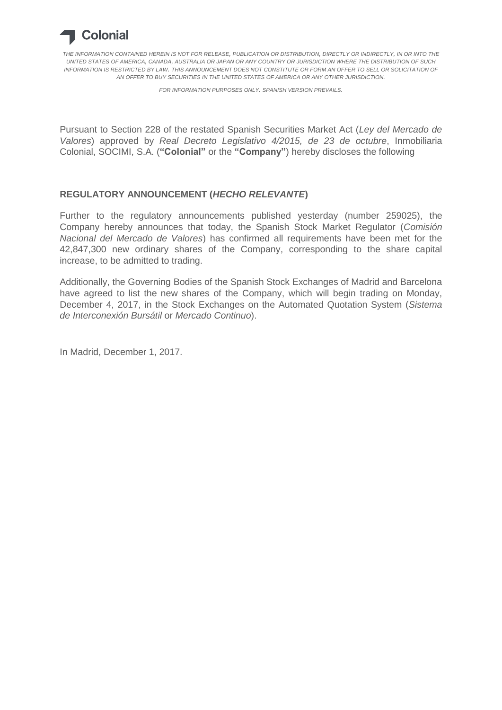

*THE INFORMATION CONTAINED HEREIN IS NOT FOR RELEASE, PUBLICATION OR DISTRIBUTION, DIRECTLY OR INDIRECTLY, IN OR INTO THE UNITED STATES OF AMERICA, CANADA, AUSTRALIA OR JAPAN OR ANY COUNTRY OR JURISDICTION WHERE THE DISTRIBUTION OF SUCH INFORMATION IS RESTRICTED BY LAW. THIS ANNOUNCEMENT DOES NOT CONSTITUTE OR FORM AN OFFER TO SELL OR SOLICITATION OF AN OFFER TO BUY SECURITIES IN THE UNITED STATES OF AMERICA OR ANY OTHER JURISDICTION.*

*FOR INFORMATION PURPOSES ONLY. SPANISH VERSION PREVAILS.*

Pursuant to Section 228 of the restated Spanish Securities Market Act (*Ley del Mercado de Valores*) approved by *Real Decreto Legislativo 4/2015, de 23 de octubre*, Inmobiliaria Colonial, SOCIMI, S.A. (**"Colonial"** or the **"Company"**) hereby discloses the following

## **REGULATORY ANNOUNCEMENT (***HECHO RELEVANTE***)**

Further to the regulatory announcements published yesterday (number 259025), the Company hereby announces that today, the Spanish Stock Market Regulator (*Comisión Nacional del Mercado de Valores*) has confirmed all requirements have been met for the 42,847,300 new ordinary shares of the Company, corresponding to the share capital increase, to be admitted to trading.

Additionally, the Governing Bodies of the Spanish Stock Exchanges of Madrid and Barcelona have agreed to list the new shares of the Company, which will begin trading on Monday, December 4, 2017, in the Stock Exchanges on the Automated Quotation System (*Sistema de Interconexión Bursátil* or *Mercado Continuo*).

In Madrid, December 1, 2017.